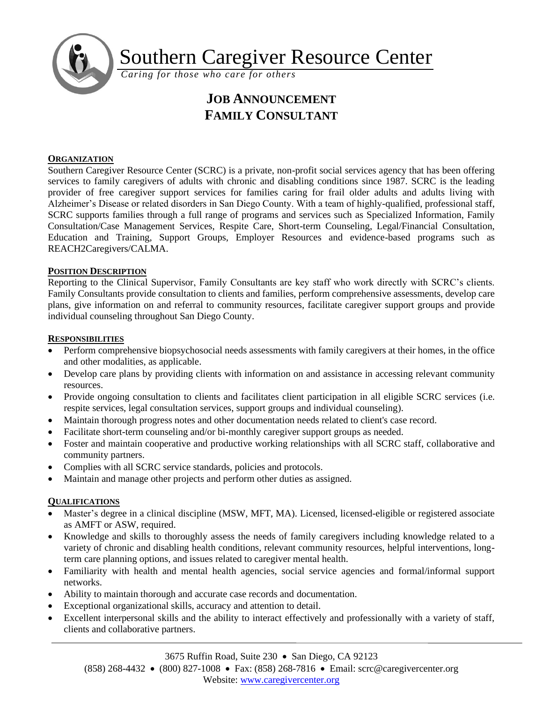

Southern Caregiver Resource Center

*Caring for those who care for others*

# **JOB ANNOUNCEMENT FAMILY CONSULTANT**

### **ORGANIZATION**

Southern Caregiver Resource Center (SCRC) is a private, non-profit social services agency that has been offering services to family caregivers of adults with chronic and disabling conditions since 1987. SCRC is the leading provider of free caregiver support services for families caring for frail older adults and adults living with Alzheimer's Disease or related disorders in San Diego County. With a team of highly-qualified, professional staff, SCRC supports families through a full range of programs and services such as Specialized Information, Family Consultation/Case Management Services, Respite Care, Short-term Counseling, Legal/Financial Consultation, Education and Training, Support Groups, Employer Resources and evidence-based programs such as REACH2Caregivers/CALMA.

## **POSITION DESCRIPTION**

Reporting to the Clinical Supervisor, Family Consultants are key staff who work directly with SCRC's clients. Family Consultants provide consultation to clients and families, perform comprehensive assessments, develop care plans, give information on and referral to community resources, facilitate caregiver support groups and provide individual counseling throughout San Diego County.

### **RESPONSIBILITIES**

- Perform comprehensive biopsychosocial needs assessments with family caregivers at their homes, in the office and other modalities, as applicable.
- Develop care plans by providing clients with information on and assistance in accessing relevant community resources.
- Provide ongoing consultation to clients and facilitates client participation in all eligible SCRC services (i.e. respite services, legal consultation services, support groups and individual counseling).
- Maintain thorough progress notes and other documentation needs related to client's case record.
- Facilitate short-term counseling and/or bi-monthly caregiver support groups as needed.
- Foster and maintain cooperative and productive working relationships with all SCRC staff, collaborative and community partners.
- Complies with all SCRC service standards, policies and protocols.
- Maintain and manage other projects and perform other duties as assigned.

### **QUALIFICATIONS**

- Master's degree in a clinical discipline (MSW, MFT, MA). Licensed, licensed-eligible or registered associate as AMFT or ASW, required.
- Knowledge and skills to thoroughly assess the needs of family caregivers including knowledge related to a variety of chronic and disabling health conditions, relevant community resources, helpful interventions, longterm care planning options, and issues related to caregiver mental health.
- Familiarity with health and mental health agencies, social service agencies and formal/informal support networks.
- Ability to maintain thorough and accurate case records and documentation.
- Exceptional organizational skills, accuracy and attention to detail.
- Excellent interpersonal skills and the ability to interact effectively and professionally with a variety of staff, clients and collaborative partners.